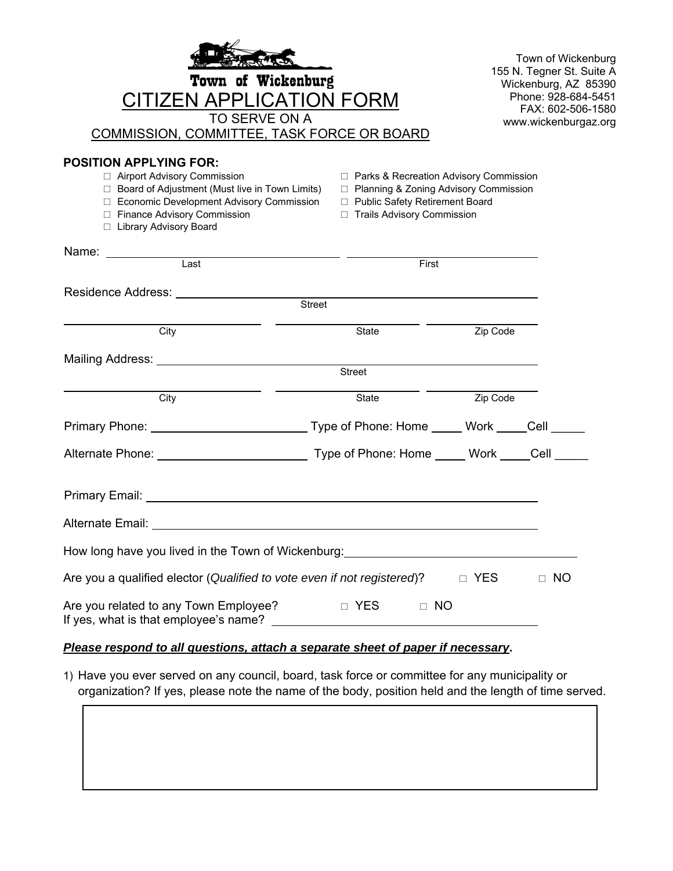| Town of Wickenburg<br><b>CITIZEN APPLICATION FORM</b><br>TO SERVE ON A<br><b>COMMISSION, COMMITTEE, TASK FORCE OR BOARD</b>                                                                                                   |                                                                                                                                                         |            | Town of Wickenburg<br>155 N. Tegner St. Suite A<br>Wickenburg, AZ 85390<br>Phone: 928-684-5451<br>FAX: 602-506-1580<br>www.wickenburgaz.org |
|-------------------------------------------------------------------------------------------------------------------------------------------------------------------------------------------------------------------------------|---------------------------------------------------------------------------------------------------------------------------------------------------------|------------|---------------------------------------------------------------------------------------------------------------------------------------------|
| <b>POSITION APPLYING FOR:</b><br>□ Airport Advisory Commission<br>□ Board of Adjustment (Must live in Town Limits)<br>□ Economic Development Advisory Commission<br>□ Finance Advisory Commission<br>□ Library Advisory Board | □ Parks & Recreation Advisory Commission<br>□ Planning & Zoning Advisory Commission<br>□ Public Safety Retirement Board<br>□ Trails Advisory Commission |            |                                                                                                                                             |
| Name:<br>Last                                                                                                                                                                                                                 | First                                                                                                                                                   |            |                                                                                                                                             |
| Residence Address: National Property of the Marine School and Theorem<br>Street                                                                                                                                               |                                                                                                                                                         |            |                                                                                                                                             |
| City                                                                                                                                                                                                                          | State                                                                                                                                                   | Zip Code   |                                                                                                                                             |
|                                                                                                                                                                                                                               | Street                                                                                                                                                  |            |                                                                                                                                             |
| City                                                                                                                                                                                                                          | State                                                                                                                                                   | Zip Code   |                                                                                                                                             |
| Primary Phone: _______________________________Type of Phone: Home _____ Work _____Cell ______                                                                                                                                 |                                                                                                                                                         |            |                                                                                                                                             |
|                                                                                                                                                                                                                               |                                                                                                                                                         |            |                                                                                                                                             |
|                                                                                                                                                                                                                               |                                                                                                                                                         |            |                                                                                                                                             |
| Alternate Email: _                                                                                                                                                                                                            |                                                                                                                                                         |            |                                                                                                                                             |
| How long have you lived in the Town of Wickenburg: _____________________________                                                                                                                                              |                                                                                                                                                         |            |                                                                                                                                             |
| Are you a qualified elector (Qualified to vote even if not registered)?                                                                                                                                                       |                                                                                                                                                         | $\Box$ YES | $\Box$ NO                                                                                                                                   |
| Are you related to any Town Employee?                                                                                                                                                                                         | $\Box$ NO<br><b>Example 19 YES</b>                                                                                                                      |            |                                                                                                                                             |

## *Please respond to all questions, attach a separate sheet of paper if necessary***.**

1) Have you ever served on any council, board, task force or committee for any municipality or organization? If yes, please note the name of the body, position held and the length of time served.